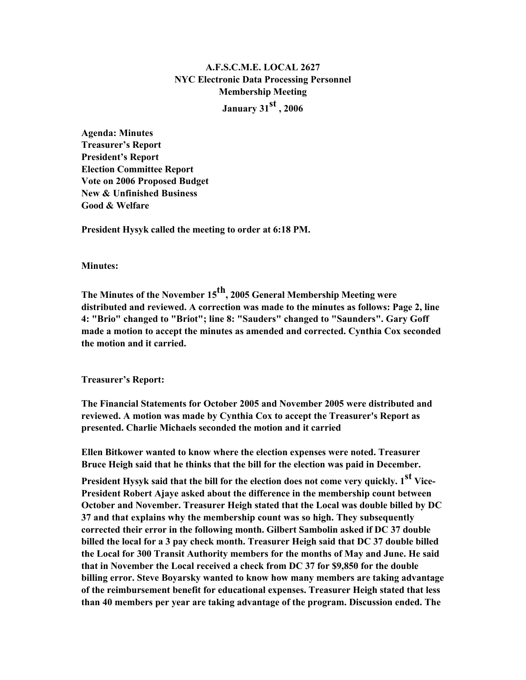# A.F.S.C.M.E. LOCAL 2627 NYC Electronic Data Processing Personnel Membership Meeting

January 31 $^{\rm st}$  , 2006

Agenda: Minutes Treasurer's Report President's Report Election Committee Report Vote on 2006 Proposed Budget New & Unfinished Business Good & Welfare

President Hysyk called the meeting to order at 6:18 PM.

Minutes:

The Minutes of the November 15 $^{\rm th}$ , 2005 General Membership Meeting were distributed and reviewed. A correction was made to the minutes as follows: Page 2, line 4: "Brio" changed to "Briot"; line 8: "Sauders" changed to "Saunders". Gary Goff made a motion to accept the minutes as amended and corrected. Cynthia Cox seconded the motion and it carried.

Treasurer's Report:

The Financial Statements for October 2005 and November 2005 were distributed and reviewed. A motion was made by Cynthia Cox to accept the Treasurer's Report as presented. Charlie Michaels seconded the motion and it carried

Ellen Bitkower wanted to know where the election expenses were noted. Treasurer Bruce Heigh said that he thinks that the bill for the election was paid in December.

President Hysyk said that the bill for the election does not come very quickly.  $1^{\rm st}$  Vice-President Robert Ajaye asked about the difference in the membership count between October and November. Treasurer Heigh stated that the Local was double billed by DC 37 and that explains why the membership count was so high. They subsequently corrected their error in the following month. Gilbert Sambolin asked if DC 37 double billed the local for a 3 pay check month. Treasurer Heigh said that DC 37 double billed the Local for 300 Transit Authority members for the months of May and June. He said that in November the Local received a check from DC 37 for \$9,850 for the double billing error. Steve Boyarsky wanted to know how many members are taking advantage of the reimbursement benefit for educational expenses. Treasurer Heigh stated that less than 40 members per year are taking advantage of the program. Discussion ended. The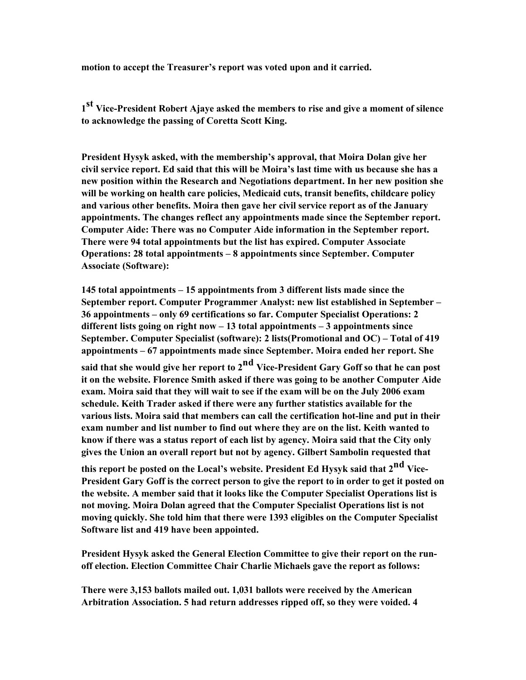motion to accept the Treasurer's report was voted upon and it carried.

1<sup>st</sup> Vice-President Robert Ajaye asked the members to rise and give a moment of silence to acknowledge the passing of Coretta Scott King.

President Hysyk asked, with the membership's approval, that Moira Dolan give her civil service report. Ed said that this will be Moira's last time with us because she has a new position within the Research and Negotiations department. In her new position she will be working on health care policies, Medicaid cuts, transit benefits, childcare policy and various other benefits. Moira then gave her civil service report as of the January appointments. The changes reflect any appointments made since the September report. Computer Aide: There was no Computer Aide information in the September report. There were 94 total appointments but the list has expired. Computer Associate Operations: 28 total appointments – 8 appointments since September. Computer Associate (Software):

145 total appointments – 15 appointments from 3 different lists made since the September report. Computer Programmer Analyst: new list established in September – 36 appointments – only 69 certifications so far. Computer Specialist Operations: 2 different lists going on right now  $-13$  total appointments  $-3$  appointments since September. Computer Specialist (software): 2 lists(Promotional and OC) – Total of 419 appointments – 67 appointments made since September. Moira ended her report. She

said that she would give her report to  $2<sup>nd</sup>$  Vice-President Gary Goff so that he can post it on the website. Florence Smith asked if there was going to be another Computer Aide exam. Moira said that they will wait to see if the exam will be on the July 2006 exam schedule. Keith Trader asked if there were any further statistics available for the various lists. Moira said that members can call the certification hot-line and put in their exam number and list number to find out where they are on the list. Keith wanted to know if there was a status report of each list by agency. Moira said that the City only gives the Union an overall report but not by agency. Gilbert Sambolin requested that

this report be posted on the Local's website. President Ed Hysyk said that 2<sup>nd</sup> Vice-President Gary Goff is the correct person to give the report to in order to get it posted on the website. A member said that it looks like the Computer Specialist Operations list is not moving. Moira Dolan agreed that the Computer Specialist Operations list is not moving quickly. She told him that there were 1393 eligibles on the Computer Specialist Software list and 419 have been appointed.

President Hysyk asked the General Election Committee to give their report on the runoff election. Election Committee Chair Charlie Michaels gave the report as follows:

There were 3,153 ballots mailed out. 1,031 ballots were received by the American Arbitration Association. 5 had return addresses ripped off, so they were voided. 4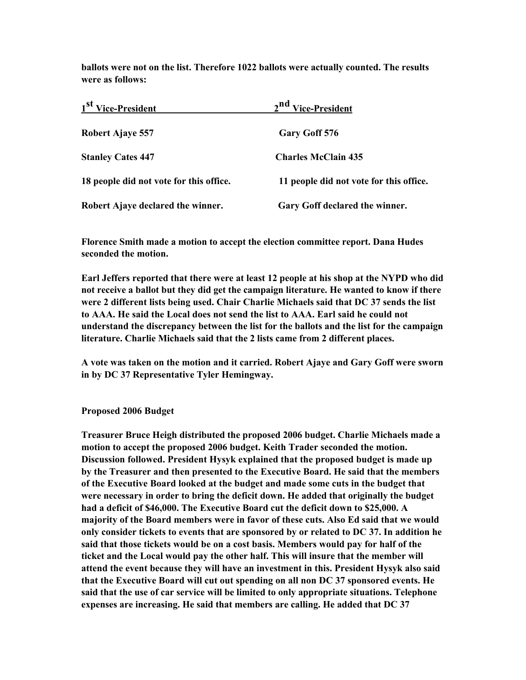ballots were not on the list. Therefore 1022 ballots were actually counted. The results were as follows:

| 1 <sup>st</sup> Vice-President          | 2 <sup>nd</sup> Vice-President          |
|-----------------------------------------|-----------------------------------------|
| Robert Ajaye 557                        | Gary Goff 576                           |
| <b>Stanley Cates 447</b>                | <b>Charles McClain 435</b>              |
| 18 people did not vote for this office. | 11 people did not vote for this office. |
| Robert Ajaye declared the winner.       | Gary Goff declared the winner.          |

Florence Smith made a motion to accept the election committee report. Dana Hudes seconded the motion.

Earl Jeffers reported that there were at least 12 people at his shop at the NYPD who did not receive a ballot but they did get the campaign literature. He wanted to know if there were 2 different lists being used. Chair Charlie Michaels said that DC 37 sends the list to AAA. He said the Local does not send the list to AAA. Earl said he could not understand the discrepancy between the list for the ballots and the list for the campaign literature. Charlie Michaels said that the 2 lists came from 2 different places.

A vote was taken on the motion and it carried. Robert Ajaye and Gary Goff were sworn in by DC 37 Representative Tyler Hemingway.

#### Proposed 2006 Budget

Treasurer Bruce Heigh distributed the proposed 2006 budget. Charlie Michaels made a motion to accept the proposed 2006 budget. Keith Trader seconded the motion. Discussion followed. President Hysyk explained that the proposed budget is made up by the Treasurer and then presented to the Executive Board. He said that the members of the Executive Board looked at the budget and made some cuts in the budget that were necessary in order to bring the deficit down. He added that originally the budget had a deficit of \$46,000. The Executive Board cut the deficit down to \$25,000. A majority of the Board members were in favor of these cuts. Also Ed said that we would only consider tickets to events that are sponsored by or related to DC 37. In addition he said that those tickets would be on a cost basis. Members would pay for half of the ticket and the Local would pay the other half. This will insure that the member will attend the event because they will have an investment in this. President Hysyk also said that the Executive Board will cut out spending on all non DC 37 sponsored events. He said that the use of car service will be limited to only appropriate situations. Telephone expenses are increasing. He said that members are calling. He added that DC 37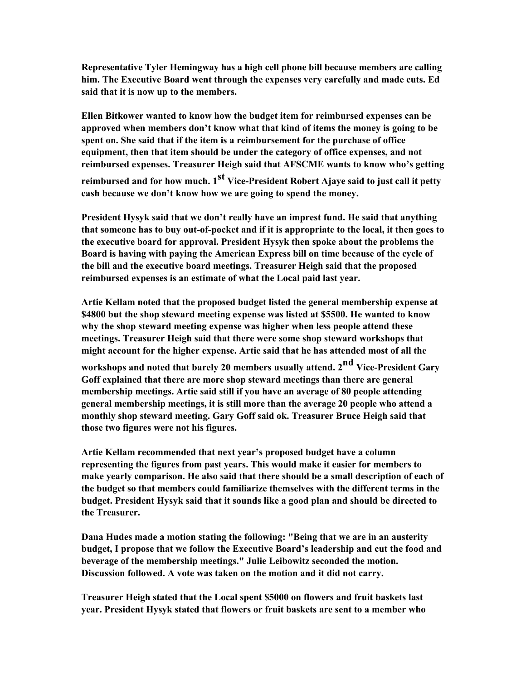Representative Tyler Hemingway has a high cell phone bill because members are calling him. The Executive Board went through the expenses very carefully and made cuts. Ed said that it is now up to the members.

Ellen Bitkower wanted to know how the budget item for reimbursed expenses can be approved when members don't know what that kind of items the money is going to be spent on. She said that if the item is a reimbursement for the purchase of office equipment, then that item should be under the category of office expenses, and not reimbursed expenses. Treasurer Heigh said that AFSCME wants to know who's getting reimbursed and for how much. 1<sup>st</sup> Vice-President Robert Ajaye said to just call it petty cash because we don't know how we are going to spend the money.

President Hysyk said that we don't really have an imprest fund. He said that anything that someone has to buy out-of-pocket and if it is appropriate to the local, it then goes to the executive board for approval. President Hysyk then spoke about the problems the Board is having with paying the American Express bill on time because of the cycle of the bill and the executive board meetings. Treasurer Heigh said that the proposed reimbursed expenses is an estimate of what the Local paid last year.

Artie Kellam noted that the proposed budget listed the general membership expense at \$4800 but the shop steward meeting expense was listed at \$5500. He wanted to know why the shop steward meeting expense was higher when less people attend these meetings. Treasurer Heigh said that there were some shop steward workshops that might account for the higher expense. Artie said that he has attended most of all the

workshops and noted that barely 20 members usually attend. 2<sup>nd</sup> Vice-President Gary Goff explained that there are more shop steward meetings than there are general membership meetings. Artie said still if you have an average of 80 people attending general membership meetings, it is still more than the average 20 people who attend a monthly shop steward meeting. Gary Goff said ok. Treasurer Bruce Heigh said that those two figures were not his figures.

Artie Kellam recommended that next year's proposed budget have a column representing the figures from past years. This would make it easier for members to make yearly comparison. He also said that there should be a small description of each of the budget so that members could familiarize themselves with the different terms in the budget. President Hysyk said that it sounds like a good plan and should be directed to the Treasurer.

Dana Hudes made a motion stating the following: "Being that we are in an austerity budget, I propose that we follow the Executive Board's leadership and cut the food and beverage of the membership meetings." Julie Leibowitz seconded the motion. Discussion followed. A vote was taken on the motion and it did not carry.

Treasurer Heigh stated that the Local spent \$5000 on flowers and fruit baskets last year. President Hysyk stated that flowers or fruit baskets are sent to a member who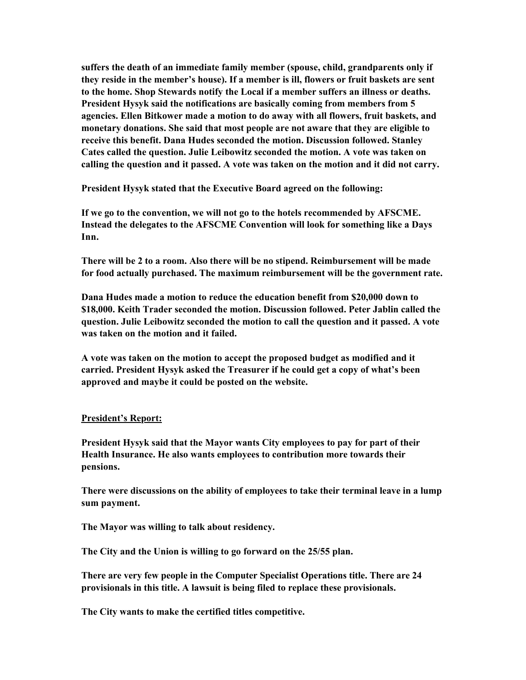suffers the death of an immediate family member (spouse, child, grandparents only if they reside in the member's house). If a member is ill, flowers or fruit baskets are sent to the home. Shop Stewards notify the Local if a member suffers an illness or deaths. President Hysyk said the notifications are basically coming from members from 5 agencies. Ellen Bitkower made a motion to do away with all flowers, fruit baskets, and monetary donations. She said that most people are not aware that they are eligible to receive this benefit. Dana Hudes seconded the motion. Discussion followed. Stanley Cates called the question. Julie Leibowitz seconded the motion. A vote was taken on calling the question and it passed. A vote was taken on the motion and it did not carry.

President Hysyk stated that the Executive Board agreed on the following:

If we go to the convention, we will not go to the hotels recommended by AFSCME. Instead the delegates to the AFSCME Convention will look for something like a Days Inn.

There will be 2 to a room. Also there will be no stipend. Reimbursement will be made for food actually purchased. The maximum reimbursement will be the government rate.

Dana Hudes made a motion to reduce the education benefit from \$20,000 down to \$18,000. Keith Trader seconded the motion. Discussion followed. Peter Jablin called the question. Julie Leibowitz seconded the motion to call the question and it passed. A vote was taken on the motion and it failed.

A vote was taken on the motion to accept the proposed budget as modified and it carried. President Hysyk asked the Treasurer if he could get a copy of what's been approved and maybe it could be posted on the website.

#### President's Report:

President Hysyk said that the Mayor wants City employees to pay for part of their Health Insurance. He also wants employees to contribution more towards their pensions.

There were discussions on the ability of employees to take their terminal leave in a lump sum payment.

The Mayor was willing to talk about residency.

The City and the Union is willing to go forward on the 25/55 plan.

There are very few people in the Computer Specialist Operations title. There are 24 provisionals in this title. A lawsuit is being filed to replace these provisionals.

The City wants to make the certified titles competitive.